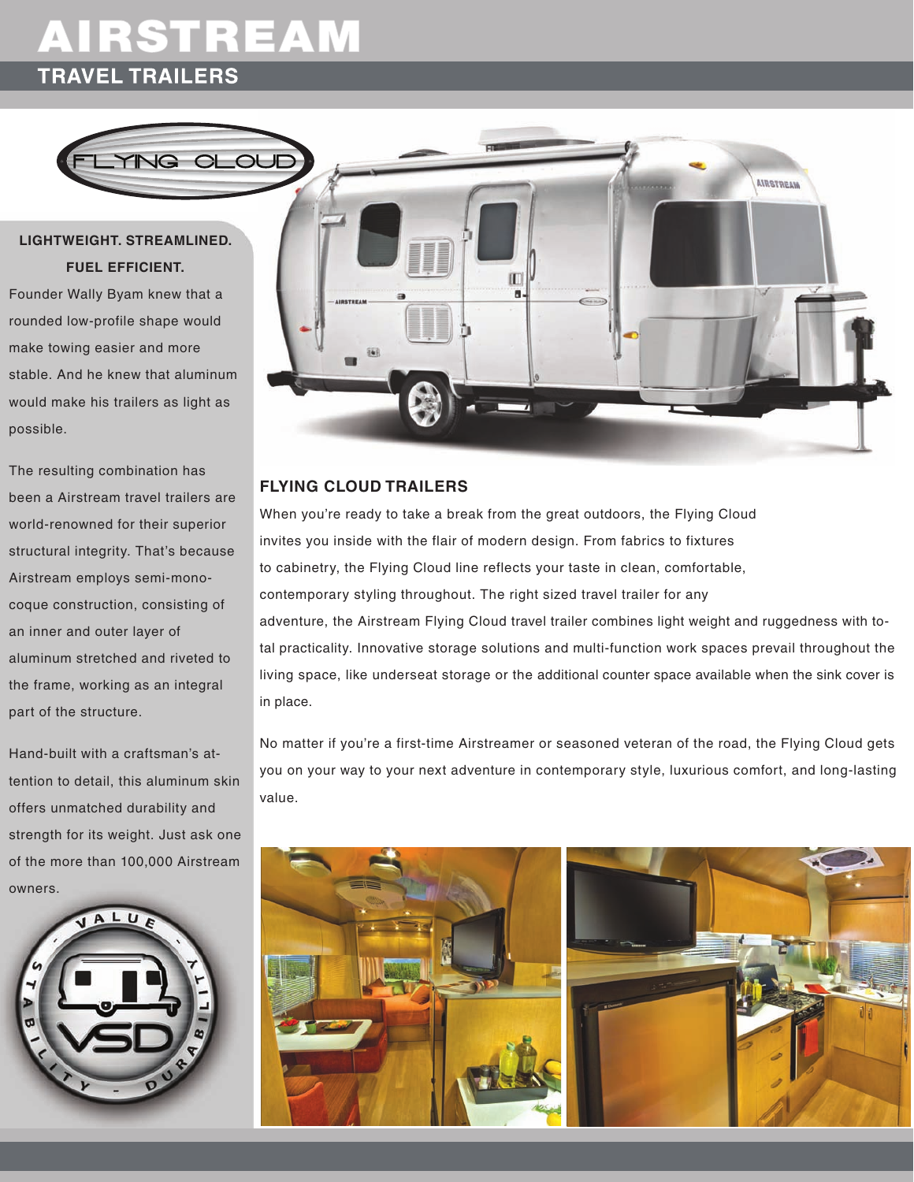# AIRSTREAM **TRAVEL TRAILERS**



### **lightweight. streamlined. fuel efficient.**

Founder Wally Byam knew that a rounded low-profile shape would make towing easier and more stable. And he knew that aluminum would make his trailers as light as possible.

The resulting combination has been a Airstream travel trailers are world-renowned for their superior structural integrity. That's because Airstream employs semi-monocoque construction, consisting of an inner and outer layer of aluminum stretched and riveted to the frame, working as an integral part of the structure.

Hand-built with a craftsman's attention to detail, this aluminum skin offers unmatched durability and strength for its weight. Just ask one of the more than 100,000 Airstream owners.





#### **flying cloud trailers**

When you're ready to take a break from the great outdoors, the Flying Cloud invites you inside with the flair of modern design. From fabrics to fixtures to cabinetry, the Flying Cloud line reflects your taste in clean, comfortable, contemporary styling throughout. The right sized travel trailer for any adventure, the Airstream Flying Cloud travel trailer combines light weight and ruggedness with total practicality. Innovative storage solutions and multi-function work spaces prevail throughout the living space, like underseat storage or the additional counter space available when the sink cover is in place.

No matter if you're a first-time Airstreamer or seasoned veteran of the road, the Flying Cloud gets you on your way to your next adventure in contemporary style, luxurious comfort, and long-lasting value.